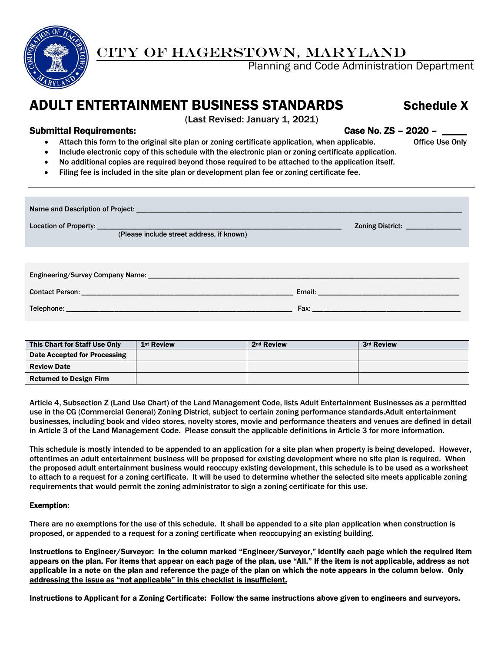

# CITY OF HAGERSTOWN, MARYLAND

Planning and Code Administration Department

# ADULT ENTERTAINMENT BUSINESS STANDARDS Schedule X

### Submittal Requirements: Case No. ZS – 2020 –

(Last Revised: January 1, 2021)

- Attach this form to the original site plan or zoning certificate application, when applicable. Office Use Only
- Include electronic copy of this schedule with the electronic plan or zoning certificate application.
- No additional copies are required beyond those required to be attached to the application itself.
- Filing fee is included in the site plan or development plan fee or zoning certificate fee.

| (Please include street address, if known) | Zoning District: <u>_______________</u>                                                                                                                                                                                             |  |  |  |  |  |  |  |
|-------------------------------------------|-------------------------------------------------------------------------------------------------------------------------------------------------------------------------------------------------------------------------------------|--|--|--|--|--|--|--|
|                                           |                                                                                                                                                                                                                                     |  |  |  |  |  |  |  |
|                                           |                                                                                                                                                                                                                                     |  |  |  |  |  |  |  |
|                                           |                                                                                                                                                                                                                                     |  |  |  |  |  |  |  |
|                                           | <b>Fax:</b> The contract of the contract of the contract of the contract of the contract of the contract of the contract of the contract of the contract of the contract of the contract of the contract of the contract of the con |  |  |  |  |  |  |  |

| This Chart for Staff Use Only  | 1 <sup>st</sup> Review | 2 <sup>nd</sup> Review | 3rd Review |
|--------------------------------|------------------------|------------------------|------------|
| Date Accepted for Processing   |                        |                        |            |
| <b>Review Date</b>             |                        |                        |            |
| <b>Returned to Design Firm</b> |                        |                        |            |

Article 4, Subsection Z (Land Use Chart) of the Land Management Code, lists Adult Entertainment Businesses as a permitted use in the CG (Commercial General) Zoning District, subject to certain zoning performance standards.Adult entertainment businesses, including book and video stores, novelty stores, movie and performance theaters and venues are defined in detail in Article 3 of the Land Management Code. Please consult the applicable definitions in Article 3 for more information.

This schedule is mostly intended to be appended to an application for a site plan when property is being developed. However, oftentimes an adult entertainment business will be proposed for existing development where no site plan is required. When the proposed adult entertainment business would reoccupy existing development, this schedule is to be used as a worksheet to attach to a request for a zoning certificate. It will be used to determine whether the selected site meets applicable zoning requirements that would permit the zoning administrator to sign a zoning certificate for this use.

#### Exemption:

There are no exemptions for the use of this schedule. It shall be appended to a site plan application when construction is proposed, or appended to a request for a zoning certificate when reoccupying an existing building.

Instructions to Engineer/Surveyor: In the column marked "Engineer/Surveyor," identify each page which the required item appears on the plan. For items that appear on each page of the plan, use "All." If the item is not applicable, address as not applicable in a note on the plan and reference the page of the plan on which the note appears in the column below. Only addressing the issue as "not applicable" in this checklist is insufficient.

Instructions to Applicant for a Zoning Certificate: Follow the same instructions above given to engineers and surveyors.